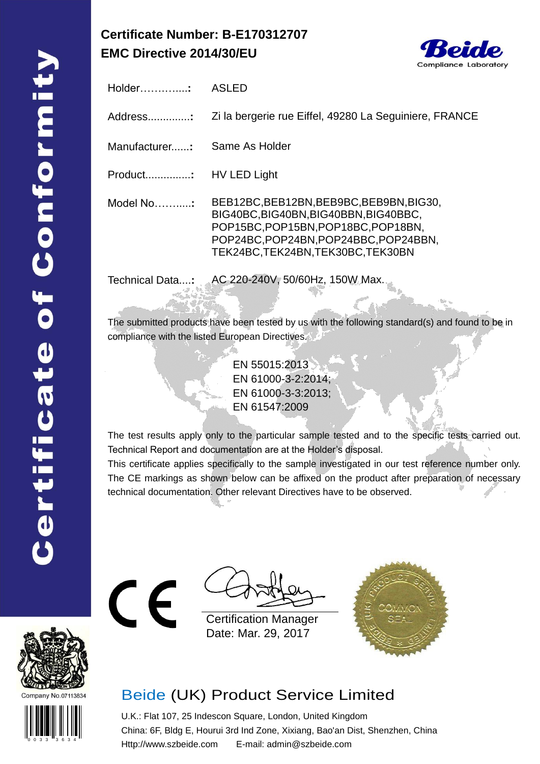## **Certificate Number: B-E170312707 EMC Directive 2014/30/EU**



Holder…….…....**:** ASLED Address..............**:** Zi la bergerie rue Eiffel, 49280 La Seguiniere, FRANCE Manufacturer......**:** Same As Holder Product...............**:** HV LED Light Model No…….....**:** BEB12BC,BEB12BN,BEB9BC,BEB9BN,BIG30, BIG40BC,BIG40BN,BIG40BBN,BIG40BBC, POP15BC,POP15BN,POP18BC,POP18BN, POP24BC,POP24BN,POP24BBC,POP24BBN, TEK24BC,TEK24BN,TEK30BC,TEK30BN

Technical Data....**:** AC 220-240V, 50/60Hz, 150W Max.

The submitted products have been tested by us with the following standard(s) and found to be in compliance with the listed European Directives.

> EN 55015:2013 EN 61000-3-2:2014; EN 61000-3-3:2013; EN 61547:2009

The test results apply only to the particular sample tested and to the specific tests carried out. Technical Report and documentation are at the Holder's disposal.

This certificate applies specifically to the sample investigated in our test reference number only. The CE markings as shown below can be affixed on the product after preparation of necessary technical documentation. Other relevant Directives have to be observed.



0 0 3 3 3 6 3 4

Certification Manager Date: Mar. 29, 2017



## Beide (UK) Product Service Limited

U.K.: Flat 107, 25 Indescon Square, London, United Kingdom China: 6F, Bldg E, Hourui 3rd Ind Zone, Xixiang, Bao'an Dist, Shenzhen, China Http://www.szbeide.com E-mail: admin@szbeide.com